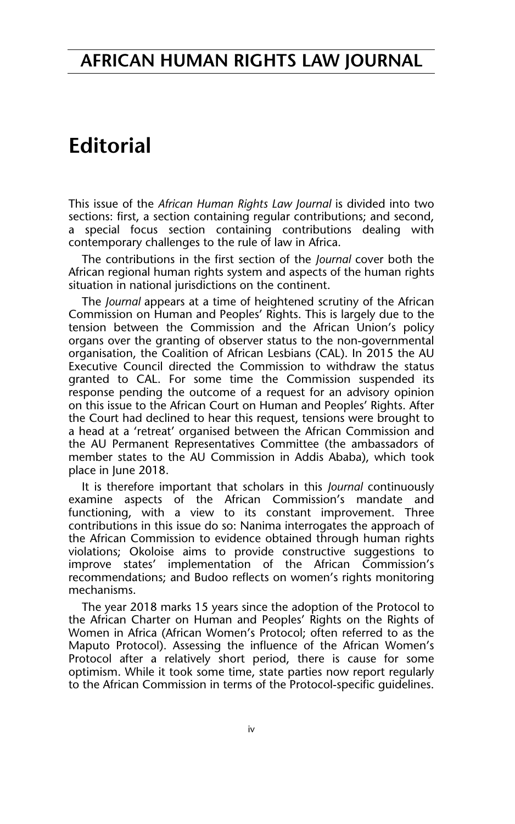## **AFRICAN HUMAN RIGHTS LAW JOURNAL**

## **Editorial**

This issue of the *African Human Rights Law Journal* is divided into two sections: first, a section containing regular contributions; and second, a special focus section containing contributions dealing with contemporary challenges to the rule of law in Africa.

The contributions in the first section of the *Journal* cover both the African regional human rights system and aspects of the human rights situation in national jurisdictions on the continent.

The *Journal* appears at a time of heightened scrutiny of the African Commission on Human and Peoples' Rights. This is largely due to the tension between the Commission and the African Union's policy organs over the granting of observer status to the non-governmental organisation, the Coalition of African Lesbians (CAL). In 2015 the AU Executive Council directed the Commission to withdraw the status granted to CAL. For some time the Commission suspended its response pending the outcome of a request for an advisory opinion on this issue to the African Court on Human and Peoples' Rights. After the Court had declined to hear this request, tensions were brought to a head at a 'retreat' organised between the African Commission and the AU Permanent Representatives Committee (the ambassadors of member states to the AU Commission in Addis Ababa), which took place in June 2018.

It is therefore important that scholars in this *Journal* continuously examine aspects of the African Commission's mandate and functioning, with a view to its constant improvement. Three contributions in this issue do so: Nanima interrogates the approach of the African Commission to evidence obtained through human rights violations; Okoloise aims to provide constructive suggestions to improve states' implementation of the African Commission's recommendations; and Budoo reflects on women's rights monitoring mechanisms.

The year 2018 marks 15 years since the adoption of the Protocol to the African Charter on Human and Peoples' Rights on the Rights of Women in Africa (African Women's Protocol; often referred to as the Maputo Protocol). Assessing the influence of the African Women's Protocol after a relatively short period, there is cause for some optimism. While it took some time, state parties now report regularly to the African Commission in terms of the Protocol-specific guidelines.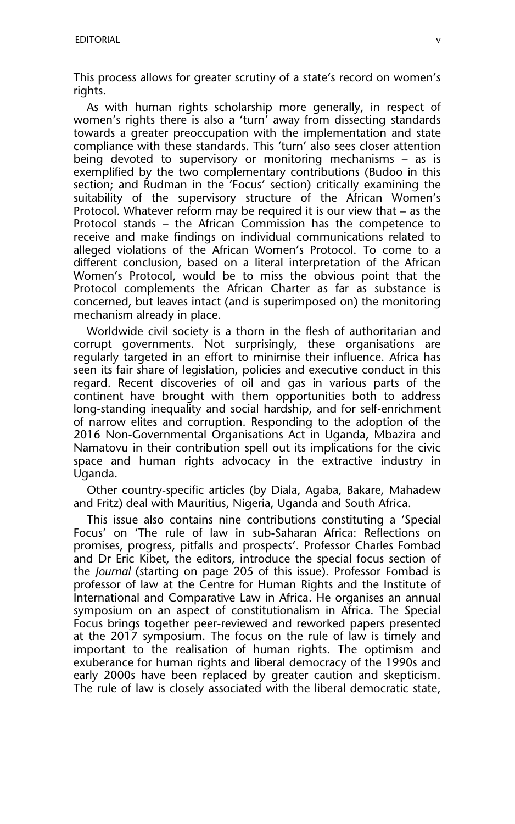This process allows for greater scrutiny of a state's record on women's rights.

As with human rights scholarship more generally, in respect of women's rights there is also a 'turn' away from dissecting standards towards a greater preoccupation with the implementation and state compliance with these standards. This 'turn' also sees closer attention being devoted to supervisory or monitoring mechanisms – as is exemplified by the two complementary contributions (Budoo in this section; and Rudman in the 'Focus' section) critically examining the suitability of the supervisory structure of the African Women's Protocol. Whatever reform may be required it is our view that – as the Protocol stands – the African Commission has the competence to receive and make findings on individual communications related to alleged violations of the African Women's Protocol. To come to a different conclusion, based on a literal interpretation of the African Women's Protocol, would be to miss the obvious point that the Protocol complements the African Charter as far as substance is concerned, but leaves intact (and is superimposed on) the monitoring mechanism already in place.

Worldwide civil society is a thorn in the flesh of authoritarian and corrupt governments. Not surprisingly, these organisations are regularly targeted in an effort to minimise their influence. Africa has seen its fair share of legislation, policies and executive conduct in this regard. Recent discoveries of oil and gas in various parts of the continent have brought with them opportunities both to address long-standing inequality and social hardship, and for self-enrichment of narrow elites and corruption. Responding to the adoption of the 2016 Non-Governmental Organisations Act in Uganda, Mbazira and Namatovu in their contribution spell out its implications for the civic space and human rights advocacy in the extractive industry in Uganda.

Other country-specific articles (by Diala, Agaba, Bakare, Mahadew and Fritz) deal with Mauritius, Nigeria, Uganda and South Africa.

This issue also contains nine contributions constituting a 'Special Focus' on 'The rule of law in sub-Saharan Africa: Reflections on promises, progress, pitfalls and prospects'. Professor Charles Fombad and Dr Eric Kibet, the editors, introduce the special focus section of the *Journal* (starting on page 205 of this issue). Professor Fombad is professor of law at the Centre for Human Rights and the Institute of International and Comparative Law in Africa. He organises an annual symposium on an aspect of constitutionalism in Africa. The Special Focus brings together peer-reviewed and reworked papers presented at the 2017 symposium. The focus on the rule of law is timely and important to the realisation of human rights. The optimism and exuberance for human rights and liberal democracy of the 1990s and early 2000s have been replaced by greater caution and skepticism. The rule of law is closely associated with the liberal democratic state,